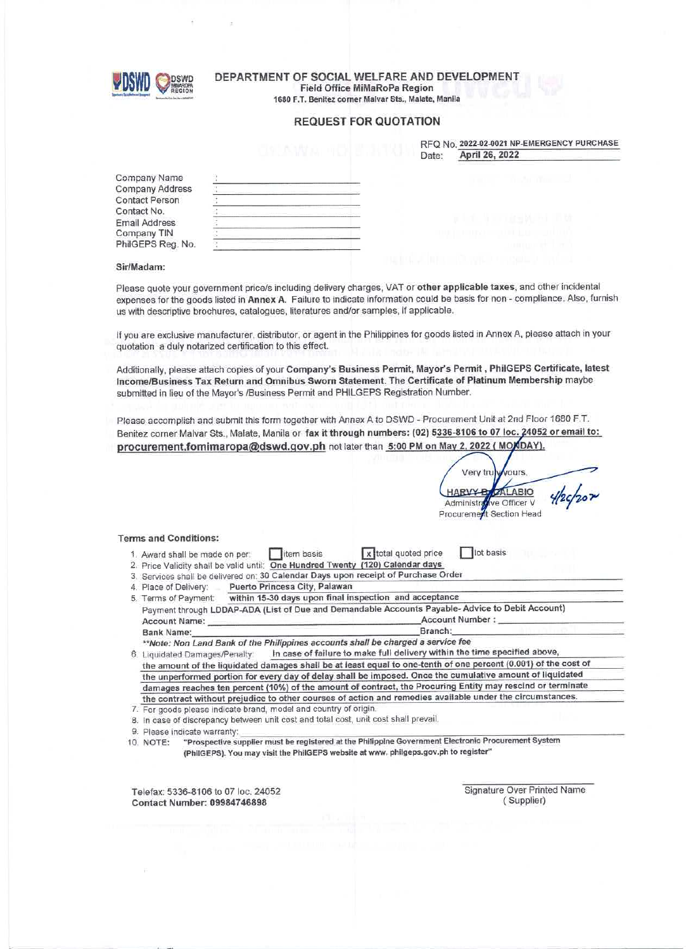

## DEPARTMENT OF SOCIAL WELFARE AND DEVELOPMENT **Field Office MiMaRoPa Region**

1680 F.T. Benitez corner Malvar Sts., Malate, Manila

## **REQUEST FOR QUOTATION**

|       | RFQ No. 2022-02-0021 NP-EMERGENCY PURCHASE |
|-------|--------------------------------------------|
| Date: | April 26, 2022                             |

Company Name **Company Address** Contact Person Contact No. **Email Address** Company TIN PhilGEPS Reg. No.

| $\mathcal{G}_4$                                                       |                                                                                                                     |                                    |
|-----------------------------------------------------------------------|---------------------------------------------------------------------------------------------------------------------|------------------------------------|
|                                                                       |                                                                                                                     |                                    |
| 18                                                                    | and the contract of the contract of the contract of the contract of the contract of the contract of the contract of |                                    |
| <b>STATISTICS</b><br><b>Contract Contract Contract</b>                | programma and an international programma and<br><b><i><u>Property Community Community</u></i></b>                   |                                    |
| ÷                                                                     |                                                                                                                     |                                    |
|                                                                       |                                                                                                                     |                                    |
| The property of the party of the company special control of the party | <b>CONTRACTOR</b>                                                                                                   | The property of the company of the |
|                                                                       | <b>Service Control</b>                                                                                              | the company of the company of the  |
|                                                                       |                                                                                                                     |                                    |
|                                                                       |                                                                                                                     |                                    |
| the company's company's product that the product<br>÷                 | The company's company's company's                                                                                   |                                    |
| <b>State</b><br>٠                                                     |                                                                                                                     | $- -$                              |
| ----<br>÷<br>٠<br>16                                                  | المستوفي                                                                                                            | ___<br>____                        |
| ٠<br>stated the state of the state of the<br><b>STATISTICS</b>        |                                                                                                                     |                                    |

## Sir/Madam:

Please quote your government price/s including delivery charges, VAT or other applicable taxes, and other incidental expenses for the goods listed in Annex A. Failure to indicate information could be basis for non - compliance. Also, furnish us with descriptive brochures, catalogues, literatures and/or samples, if applicable.

If you are exclusive manufacturer, distributor, or agent in the Philippines for goods listed in Annex A, please attach in your quotation a duly notarized certification to this effect.

Additionally, please attach copies of your Company's Business Permit, Mayor's Permit, PhilGEPS Certificate, latest Income/Business Tax Return and Omnibus Sworn Statement. The Certificate of Platinum Membership maybe submitted in lieu of the Mayor's /Business Permit and PHILGEPS Registration Number.

Please accomplish and submit this form together with Annex A to DSWD - Procurement Unit at 2nd Floor 1680 F.T. Benitez corner Malvar Sts., Malate, Manila or fax it through numbers: (02) 5336-8106 to 07 loc. 24052 or email to: procurement.fomimaropa@dswd.gov.ph not later than 5:00 PM on May 2, 2022 ( MOXDAY).

**VOUIS** Very tru **ZALABIO HARV4** Administra ve Officer V Procurement Section Head

#### **Terms and Conditions:**

- litem basis 1. Award shall be made on per:
- lot basis x total quoted price
- 2. Price Validity shall be valid until: One Hundred Twenty (120) Calendar days 3. Services shall be delivered on: 30 Calendar Days upon receipt of Purchase Order
- Puerto Princesa City, Palawan 4. Place of Delivery:
- 

| 5. Terms of Payment: | within 15-30 days upon final inspection and acceptance                                          |                 |
|----------------------|-------------------------------------------------------------------------------------------------|-----------------|
|                      | Payment through LDDAP-ADA (List of Due and Demandable Accounts Payable-Advice to Debit Account) |                 |
| Account Name:        |                                                                                                 | Account Number: |
| Bank Name:           |                                                                                                 | Branch:         |
|                      |                                                                                                 |                 |

\*\*Note: Non Land Bank of the Philippines accounts shall be charged a service fee

In case of failure to make full delivery within the time specified above, 6. Liquidated Damages/Penalty: the amount of the liquidated damages shall be at least equal to one-tenth of one percent (0.001) of the cost of the unperformed portion for every day of delay shall be imposed. Once the cumulative amount of liquidated damages reaches ten percent (10%) of the amount of contract, the Procuring Entity may rescind or terminate the contract without prejudice to other courses of action and remedies available under the circumstances.

- 7. For goods please indicate brand, model and country of origin.
- 8. In case of discrepancy between unit cost and total cost, unit cost shall prevail.
- 9. Please indicate warranty:

"Prospective supplier must be registered at the Philippine Government Electronic Procurement System 10. NOTE: (PhilGEPS). You may visit the PhilGEPS website at www. philgeps.gov.ph to register"

Telefax: 5336-8106 to 07 loc. 24052 **Contact Number: 09984746898** 

Signature Over Printed Name (Supplier)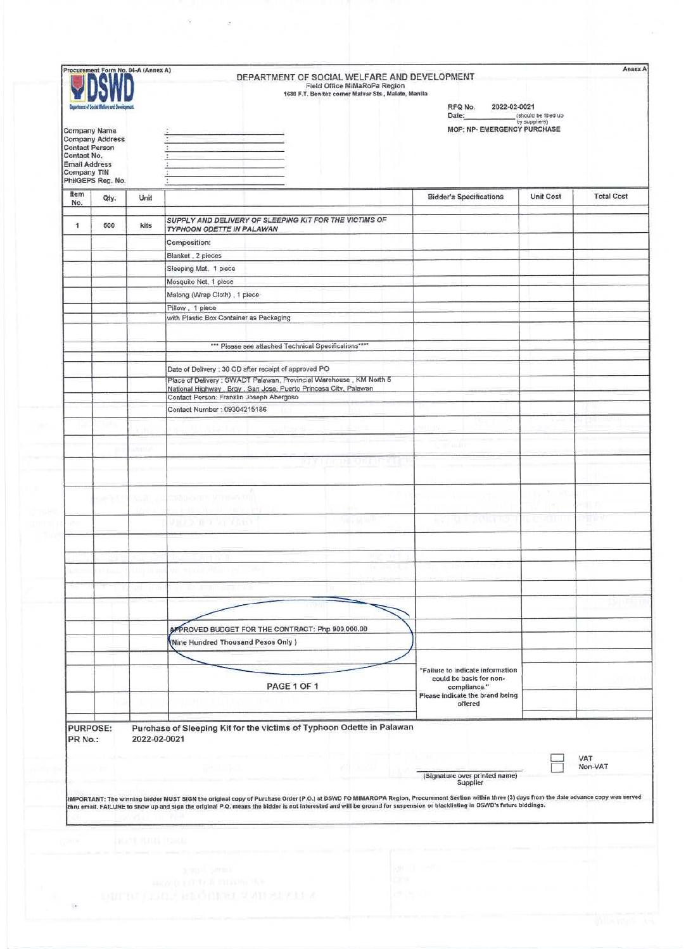|                                                                             | Procurement Form No. 04-A (Annex A)                         |                           | DEPARTMENT OF SOCIAL WELFARE AND DEVELOPMENT<br>Field Office MiMaRoPa Region<br>1680 F.T. Benitez corner Malvar Sts., Malato, Manila                                                                                                                                    | RFQ No.<br>2022-02-0021                                     |                                       | <b>Annex A</b>    |
|-----------------------------------------------------------------------------|-------------------------------------------------------------|---------------------------|-------------------------------------------------------------------------------------------------------------------------------------------------------------------------------------------------------------------------------------------------------------------------|-------------------------------------------------------------|---------------------------------------|-------------------|
| <b>Contact Person</b><br>Contact No.<br><b>Email Address</b><br>Company TIN | Company Name<br><b>Company Address</b><br>PhilGEPS Reg. No. |                           |                                                                                                                                                                                                                                                                         | Date:<br>MOP: NP- EMERGENCY PURCHASE                        | (should be filted up<br>by suppliers) |                   |
| Item<br>No.                                                                 | Qty.                                                        | Unit                      |                                                                                                                                                                                                                                                                         | <b>Bidder's Specifications</b>                              | Unit Cost                             | <b>Total Cost</b> |
| $\cdot$ 1                                                                   | 500                                                         | kits                      | SUPPLY AND DELIVERY OF SLEEPING KIT FOR THE VICTIMS OF                                                                                                                                                                                                                  |                                                             |                                       |                   |
|                                                                             |                                                             |                           | TYPHOON ODETTE IN PALAWAN<br>Composition:                                                                                                                                                                                                                               |                                                             |                                       |                   |
|                                                                             |                                                             |                           | Blanket, 2 pieces                                                                                                                                                                                                                                                       |                                                             |                                       |                   |
|                                                                             |                                                             |                           | Sleeping Mat, 1 piece                                                                                                                                                                                                                                                   |                                                             |                                       |                   |
|                                                                             |                                                             |                           | Mosquito Net, 1 piece<br>Malong (Wrap Cloth), 1 piece                                                                                                                                                                                                                   |                                                             |                                       |                   |
|                                                                             |                                                             |                           | Pillow, 1 piece                                                                                                                                                                                                                                                         |                                                             |                                       |                   |
|                                                                             |                                                             |                           | with Plastic Box Container as Packaging                                                                                                                                                                                                                                 |                                                             |                                       |                   |
|                                                                             |                                                             |                           |                                                                                                                                                                                                                                                                         |                                                             |                                       |                   |
|                                                                             |                                                             |                           | *** Please see attached Technical Specifications****                                                                                                                                                                                                                    |                                                             |                                       |                   |
|                                                                             |                                                             |                           |                                                                                                                                                                                                                                                                         |                                                             |                                       |                   |
|                                                                             |                                                             |                           | Date of Delivery : 30 CD after receipt of approved PO<br>Place of Delivery : SWADT Palawan, Provincial Warehouse, KM North 5                                                                                                                                            |                                                             |                                       |                   |
|                                                                             |                                                             |                           | National Highway , Brgy , San Jose, Puerto Princesa City, Palawan                                                                                                                                                                                                       |                                                             |                                       |                   |
|                                                                             |                                                             |                           | Contact Person: Franklin Joseph Abergoso<br>Contact Number: 09304215186                                                                                                                                                                                                 |                                                             |                                       |                   |
|                                                                             |                                                             |                           |                                                                                                                                                                                                                                                                         |                                                             |                                       |                   |
|                                                                             |                                                             |                           |                                                                                                                                                                                                                                                                         |                                                             |                                       |                   |
|                                                                             |                                                             |                           |                                                                                                                                                                                                                                                                         |                                                             |                                       |                   |
|                                                                             |                                                             |                           |                                                                                                                                                                                                                                                                         |                                                             |                                       |                   |
|                                                                             |                                                             |                           |                                                                                                                                                                                                                                                                         |                                                             |                                       |                   |
|                                                                             |                                                             |                           |                                                                                                                                                                                                                                                                         |                                                             |                                       |                   |
|                                                                             |                                                             |                           |                                                                                                                                                                                                                                                                         |                                                             |                                       |                   |
|                                                                             |                                                             |                           |                                                                                                                                                                                                                                                                         |                                                             |                                       |                   |
|                                                                             |                                                             |                           |                                                                                                                                                                                                                                                                         |                                                             |                                       |                   |
|                                                                             |                                                             |                           |                                                                                                                                                                                                                                                                         |                                                             |                                       |                   |
|                                                                             |                                                             |                           |                                                                                                                                                                                                                                                                         |                                                             |                                       |                   |
|                                                                             |                                                             |                           |                                                                                                                                                                                                                                                                         |                                                             |                                       |                   |
|                                                                             |                                                             |                           |                                                                                                                                                                                                                                                                         |                                                             |                                       |                   |
|                                                                             |                                                             |                           |                                                                                                                                                                                                                                                                         |                                                             |                                       |                   |
|                                                                             |                                                             |                           | APPROVED BUDGET FOR THE CONTRACT: Php 900,000.00                                                                                                                                                                                                                        |                                                             |                                       |                   |
|                                                                             |                                                             |                           | (Nine Hundred Thousand Pesos Only)                                                                                                                                                                                                                                      |                                                             |                                       |                   |
|                                                                             |                                                             |                           |                                                                                                                                                                                                                                                                         |                                                             |                                       |                   |
|                                                                             |                                                             |                           |                                                                                                                                                                                                                                                                         | "Failure to indicate information<br>could be basis for non- |                                       |                   |
|                                                                             |                                                             |                           | PAGE 1 OF 1                                                                                                                                                                                                                                                             | compliance."<br>Please indicate the brand being             |                                       |                   |
|                                                                             |                                                             |                           |                                                                                                                                                                                                                                                                         | offered                                                     |                                       |                   |
| PURPOSE:<br>PR No.:                                                         |                                                             | 2022-02-0021              | Purchase of Sleeping Kit for the victims of Typhoon Odette in Palawan<br>IMPORTANT: The winning bidder MUST SIGN the original copy of Purchase Order (P.O.) at DSWD FO MIMAROPA Region, Procurement Section within three (3) days from the date advance copy was served | (Signature over printed name)<br>Supplier                   |                                       | VAT<br>Non-VAT    |
|                                                                             |                                                             |                           | thru email. FAILURE to show up and sign the original P.O. means the bidder is not interested and will be ground for suspension or blacklisting in DSWD's future biddings.                                                                                               |                                                             |                                       |                   |
|                                                                             |                                                             |                           |                                                                                                                                                                                                                                                                         |                                                             |                                       |                   |
|                                                                             |                                                             | <b>JANS E HUDJA FRAUL</b> |                                                                                                                                                                                                                                                                         |                                                             |                                       |                   |
|                                                                             |                                                             |                           |                                                                                                                                                                                                                                                                         |                                                             |                                       |                   |

|  |  |  |  | <b>COMMERCIAL</b> |  |  |
|--|--|--|--|-------------------|--|--|
|  |  |  |  |                   |  |  |
|  |  |  |  |                   |  |  |
|  |  |  |  |                   |  |  |
|  |  |  |  |                   |  |  |
|  |  |  |  |                   |  |  |
|  |  |  |  |                   |  |  |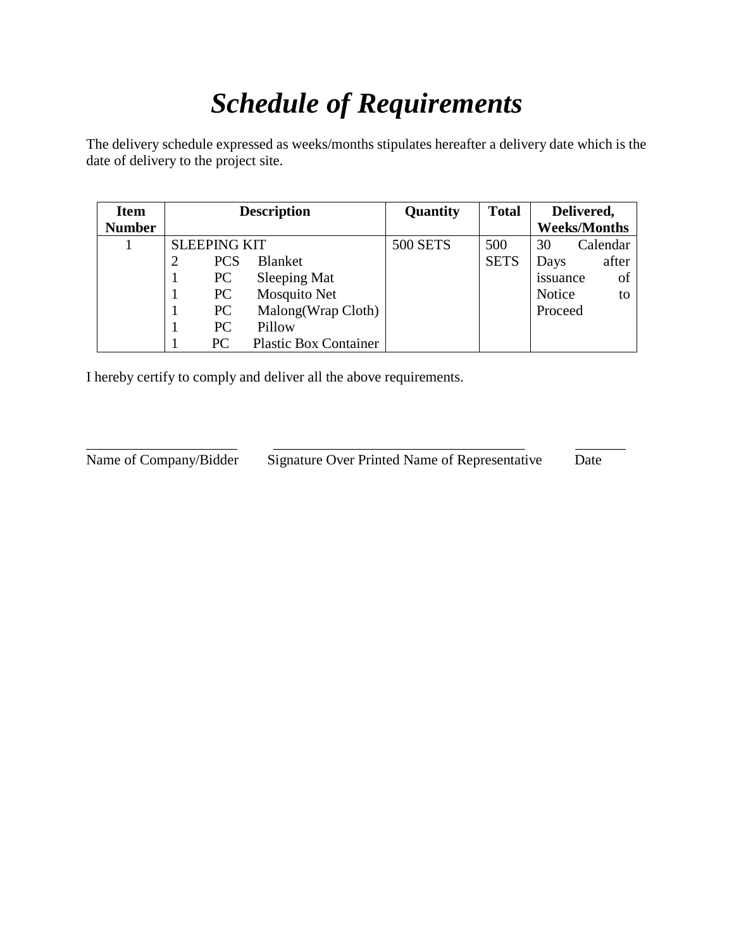# *Schedule of Requirements*

The delivery schedule expressed as weeks/months stipulates hereafter a delivery date which is the date of delivery to the project site.

| <b>Item</b>   |                     | <b>Description</b>           | Quantity        | <b>Total</b> |          | Delivered,          |
|---------------|---------------------|------------------------------|-----------------|--------------|----------|---------------------|
| <b>Number</b> |                     |                              |                 |              |          | <b>Weeks/Months</b> |
|               | <b>SLEEPING KIT</b> |                              | <b>500 SETS</b> | 500          | 30       | Calendar            |
|               | <b>PCS</b>          | <b>Blanket</b>               |                 | <b>SETS</b>  | Days     | after               |
|               | PC                  | Sleeping Mat                 |                 |              | issuance | of                  |
|               | PC                  | <b>Mosquito Net</b>          |                 |              | Notice   | to                  |
|               | PC                  | Malong (Wrap Cloth)          |                 |              | Proceed  |                     |
|               | PC                  | Pillow                       |                 |              |          |                     |
|               | PC                  | <b>Plastic Box Container</b> |                 |              |          |                     |

\_\_\_\_\_\_\_\_\_\_\_\_\_\_\_\_\_\_\_\_\_ \_\_\_\_\_\_\_\_\_\_\_\_\_\_\_\_\_\_\_\_\_\_\_\_\_\_\_\_\_\_\_\_\_\_\_ \_\_\_\_\_\_\_

I hereby certify to comply and deliver all the above requirements.

Name of Company/Bidder Signature Over Printed Name of Representative Date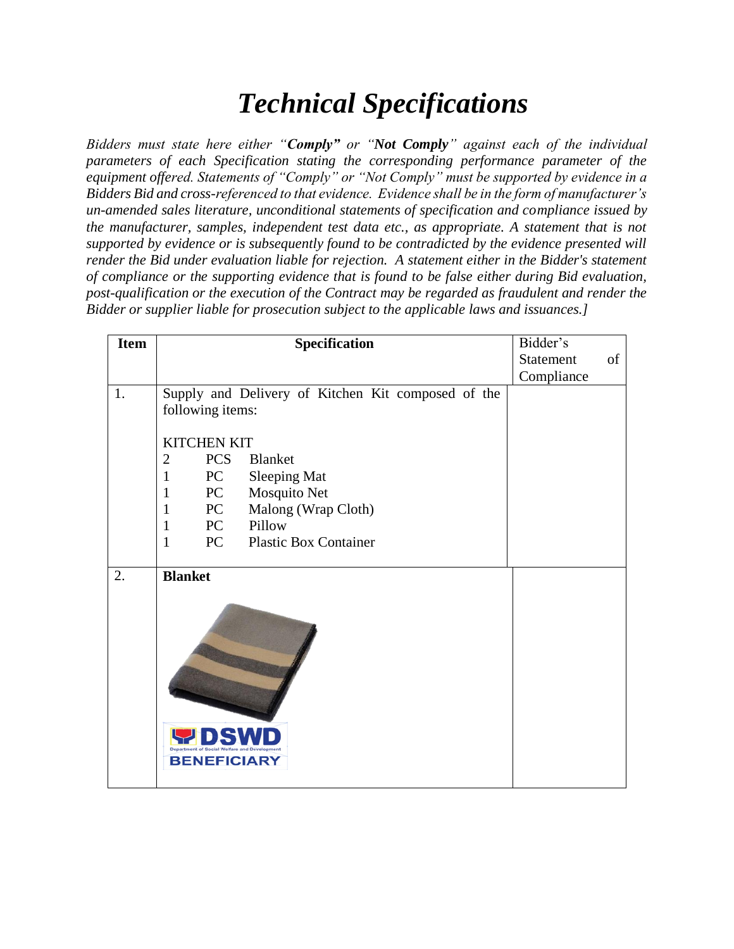## *Technical Specifications*

*Bidders must state here either "Comply" or "Not Comply" against each of the individual parameters of each Specification stating the corresponding performance parameter of the equipment offered. Statements of "Comply" or "Not Comply" must be supported by evidence in a Bidders Bid and cross-referenced to that evidence. Evidence shall be in the form of manufacturer's un-amended sales literature, unconditional statements of specification and compliance issued by the manufacturer, samples, independent test data etc., as appropriate. A statement that is not supported by evidence or is subsequently found to be contradicted by the evidence presented will render the Bid under evaluation liable for rejection. A statement either in the Bidder's statement of compliance or the supporting evidence that is found to be false either during Bid evaluation, post-qualification or the execution of the Contract may be regarded as fraudulent and render the Bidder or supplier liable for prosecution subject to the applicable laws and issuances.]*

| Specification                                      | Bidder's                                                                                                                                                                                                                                                                                                     |    |
|----------------------------------------------------|--------------------------------------------------------------------------------------------------------------------------------------------------------------------------------------------------------------------------------------------------------------------------------------------------------------|----|
|                                                    | Statement                                                                                                                                                                                                                                                                                                    | of |
|                                                    | Compliance                                                                                                                                                                                                                                                                                                   |    |
| Supply and Delivery of Kitchen Kit composed of the |                                                                                                                                                                                                                                                                                                              |    |
| following items:                                   |                                                                                                                                                                                                                                                                                                              |    |
|                                                    |                                                                                                                                                                                                                                                                                                              |    |
|                                                    |                                                                                                                                                                                                                                                                                                              |    |
|                                                    |                                                                                                                                                                                                                                                                                                              |    |
|                                                    |                                                                                                                                                                                                                                                                                                              |    |
|                                                    |                                                                                                                                                                                                                                                                                                              |    |
|                                                    |                                                                                                                                                                                                                                                                                                              |    |
|                                                    |                                                                                                                                                                                                                                                                                                              |    |
|                                                    |                                                                                                                                                                                                                                                                                                              |    |
|                                                    |                                                                                                                                                                                                                                                                                                              |    |
|                                                    |                                                                                                                                                                                                                                                                                                              |    |
| <b>BENEFICIARY</b>                                 |                                                                                                                                                                                                                                                                                                              |    |
|                                                    | <b>KITCHEN KIT</b><br><b>PCS</b><br>$\overline{2}$<br><b>Blanket</b><br>$\mathbf{1}$<br>PC<br><b>Sleeping Mat</b><br>PC<br>Mosquito Net<br>$\mathbf{1}$<br>Malong (Wrap Cloth)<br>PC<br>$\mathbf{1}$<br>PC<br>Pillow<br>$\mathbf{1}$<br>PC<br><b>Plastic Box Container</b><br>$\mathbf{1}$<br><b>Blanket</b> |    |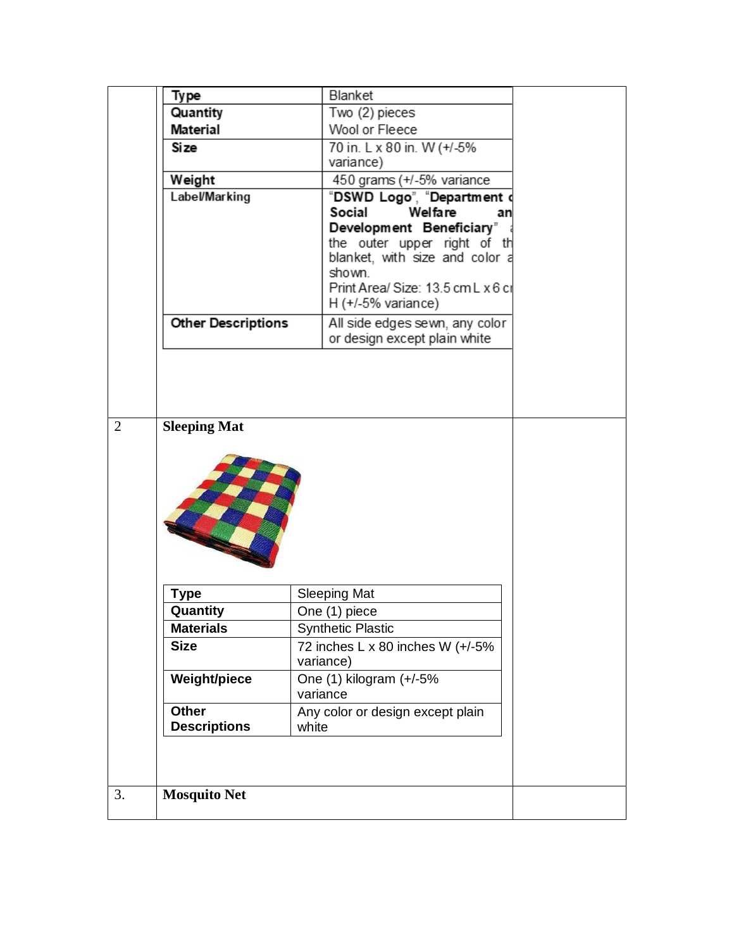|                | Type                      | Blanket                                                 |  |
|----------------|---------------------------|---------------------------------------------------------|--|
|                | Quantity                  | Two (2) pieces                                          |  |
|                | <b>Material</b>           | Wool or Fleece                                          |  |
|                | <b>Size</b>               | 70 in. L x 80 in. W (+/-5%                              |  |
|                |                           | variance)                                               |  |
|                | Weight                    | 450 grams (+/-5% variance                               |  |
|                | <b>Label/Marking</b>      | "DSWD Logo", "Department                                |  |
|                |                           | Social<br>Welfare<br>an                                 |  |
|                |                           | Development Beneficiary"<br>the outer upper right of th |  |
|                |                           | blanket, with size and color a                          |  |
|                |                           | shown.                                                  |  |
|                |                           | Print Area/ Size: 13.5 cm L x 6 cr                      |  |
|                |                           | $H$ (+/-5% variance)                                    |  |
|                | <b>Other Descriptions</b> | All side edges sewn, any color                          |  |
|                |                           | or design except plain white                            |  |
|                |                           |                                                         |  |
|                |                           |                                                         |  |
|                |                           |                                                         |  |
| $\overline{2}$ | <b>Sleeping Mat</b>       |                                                         |  |
|                |                           |                                                         |  |
|                | <b>Type</b>               | <b>Sleeping Mat</b>                                     |  |
|                | Quantity                  | One (1) piece                                           |  |
|                | <b>Materials</b>          | <b>Synthetic Plastic</b>                                |  |
|                | <b>Size</b>               | 72 inches L x 80 inches W (+/-5%<br>variance)           |  |
|                | <b>Weight/piece</b>       | One (1) kilogram (+/-5%                                 |  |
|                |                           | variance                                                |  |
|                | <b>Other</b>              | Any color or design except plain                        |  |
|                | <b>Descriptions</b>       | white                                                   |  |
|                |                           |                                                         |  |
|                |                           |                                                         |  |
|                |                           |                                                         |  |
| 3.             | <b>Mosquito Net</b>       |                                                         |  |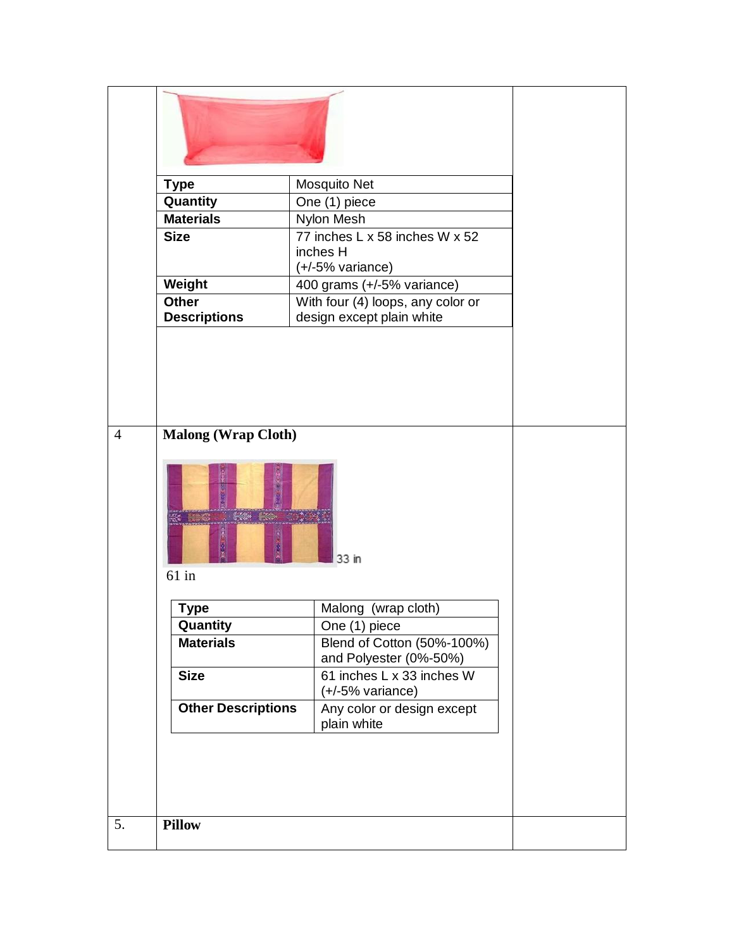|                | <b>Type</b>                         | Mosquito Net                                                     |  |
|----------------|-------------------------------------|------------------------------------------------------------------|--|
|                | Quantity                            | One (1) piece                                                    |  |
|                | <b>Materials</b>                    | Nylon Mesh                                                       |  |
|                | <b>Size</b>                         | 77 inches L x 58 inches W x 52<br>inches H<br>$(+/-5%$ variance) |  |
|                | Weight                              | 400 grams (+/-5% variance)                                       |  |
|                | <b>Other</b><br><b>Descriptions</b> | With four (4) loops, any color or<br>design except plain white   |  |
| $\overline{4}$ | <b>Malong (Wrap Cloth)</b>          |                                                                  |  |
|                |                                     | 33 in                                                            |  |
|                | $61$ in                             |                                                                  |  |
|                | <b>Type</b>                         | Malong<br>(wrap cloth)                                           |  |
|                | Quantity                            | One (1) piece                                                    |  |
|                | <b>Materials</b>                    | Blend of Cotton (50%-100%)<br>and Polyester (0%-50%)             |  |
|                | <b>Size</b>                         | 61 inches L x 33 inches W<br>$(+/-5%$ variance)                  |  |
|                | <b>Other Descriptions</b>           | Any color or design except<br>plain white                        |  |
|                |                                     |                                                                  |  |
| 5.             | <b>Pillow</b>                       |                                                                  |  |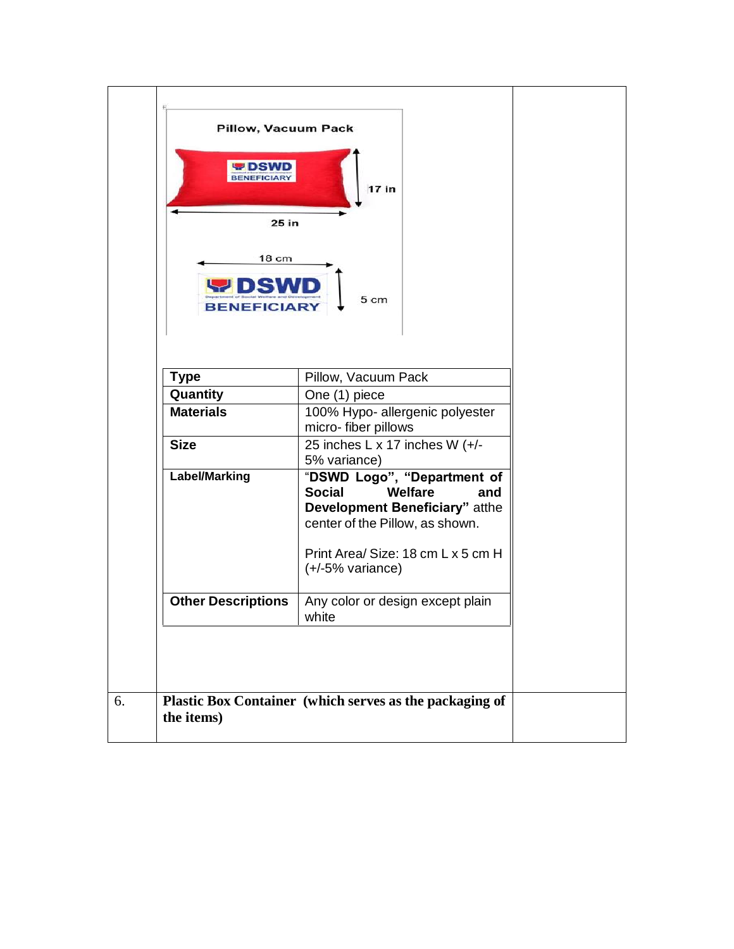| Pillow, Vacuum Pack<br><b>PDSWD</b><br>25 in<br>18 cm<br><b>BENEFICIARY</b> | 17 in<br>5 cm                                                                                                                                                                                            |
|-----------------------------------------------------------------------------|----------------------------------------------------------------------------------------------------------------------------------------------------------------------------------------------------------|
| <b>Type</b>                                                                 | Pillow, Vacuum Pack                                                                                                                                                                                      |
| Quantity                                                                    | One (1) piece                                                                                                                                                                                            |
| <b>Materials</b>                                                            | 100% Hypo- allergenic polyester<br>micro-fiber pillows                                                                                                                                                   |
| <b>Size</b>                                                                 | 25 inches L x 17 inches W (+/-<br>5% variance)                                                                                                                                                           |
| <b>Label/Marking</b>                                                        | "DSWD Logo", "Department of<br><b>Social</b><br>Welfare<br>and<br>Development Beneficiary" atthe<br>center of the Pillow, as shown.<br>Print Area/ Size: 18 cm L x 5 cm H<br>$(+/-5\% \text{ variance})$ |
| <b>Other Descriptions</b>                                                   | Any color or design except plain<br>white                                                                                                                                                                |
| the items)                                                                  | Plastic Box Container (which serves as the packaging of                                                                                                                                                  |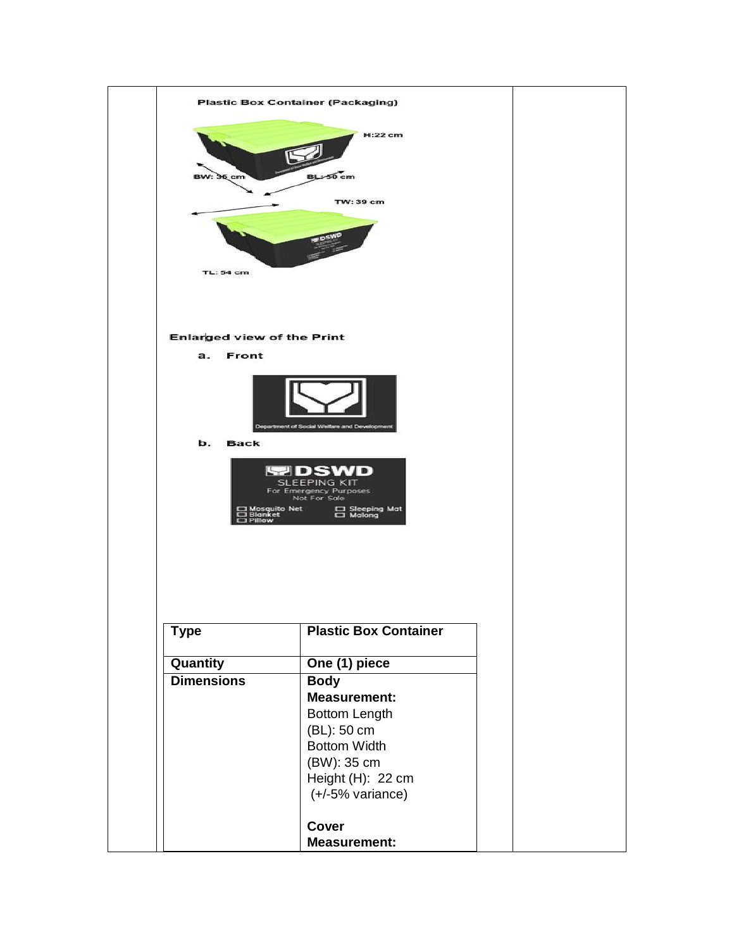